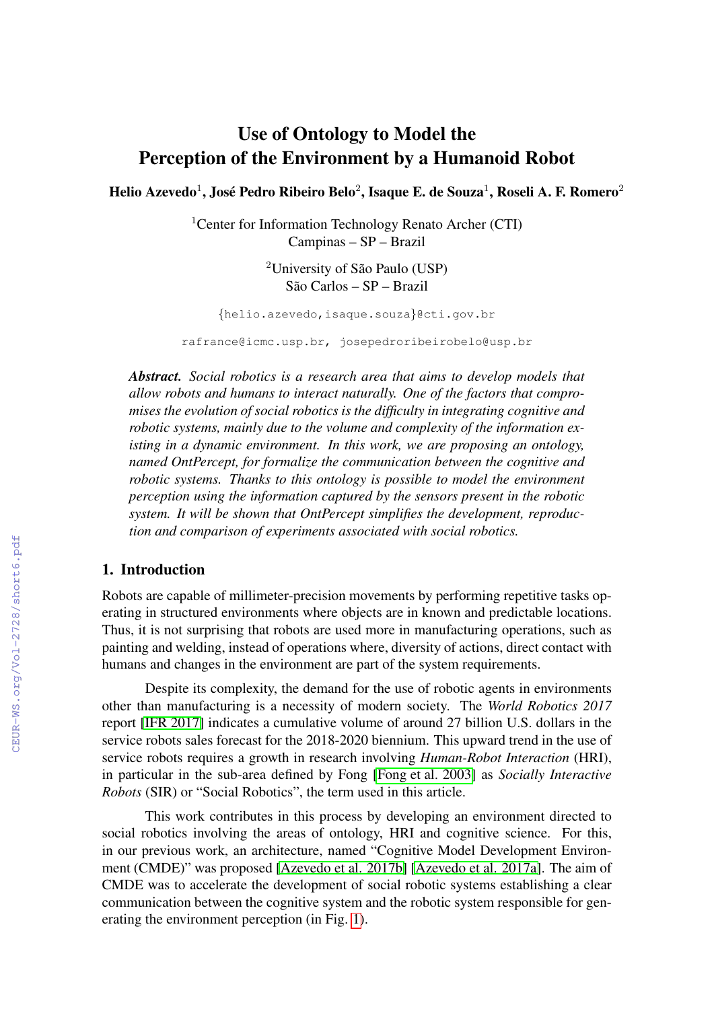# Use of Ontology to Model the Perception of the Environment by a Humanoid Robot

Helio Azevedo $^1$ , José Pedro Ribeiro Belo $^2$ , Isaque E. de Souza $^1$ , Roseli A. F. Romero $^2$ 

<sup>1</sup>Center for Information Technology Renato Archer (CTI) Campinas – SP – Brazil

> ${}^{2}$ University of São Paulo (USP) São Carlos – SP – Brazil

{helio.azevedo,isaque.souza}@cti.gov.br

rafrance@icmc.usp.br, josepedroribeirobelo@usp.br

*Abstract. Social robotics is a research area that aims to develop models that allow robots and humans to interact naturally. One of the factors that compromises the evolution of social robotics is the difficulty in integrating cognitive and robotic systems, mainly due to the volume and complexity of the information existing in a dynamic environment. In this work, we are proposing an ontology, named OntPercept, for formalize the communication between the cognitive and robotic systems. Thanks to this ontology is possible to model the environment perception using the information captured by the sensors present in the robotic system. It will be shown that OntPercept simplifies the development, reproduction and comparison of experiments associated with social robotics.*

## 1. Introduction

Robots are capable of millimeter-precision movements by performing repetitive tasks operating in structured environments where objects are in known and predictable locations. Thus, it is not surprising that robots are used more in manufacturing operations, such as painting and welding, instead of operations where, diversity of actions, direct contact with humans and changes in the environment are part of the system requirements.

Despite its complexity, the demand for the use of robotic agents in environments other than manufacturing is a necessity of modern society. The *World Robotics 2017* report [\[IFR 2017\]](#page--1-0) indicates a cumulative volume of around 27 billion U.S. dollars in the service robots sales forecast for the 2018-2020 biennium. This upward trend in the use of service robots requires a growth in research involving *Human-Robot Interaction* (HRI), in particular in the sub-area defined by Fong [\[Fong et al. 2003\]](#page--1-1) as *Socially Interactive Robots* (SIR) or "Social Robotics", the term used in this article.

This work contributes in this process by developing an environment directed to social robotics involving the areas of ontology, HRI and cognitive science. For this, in our previous work, an architecture, named "Cognitive Model Development Environment (CMDE)" was proposed [\[Azevedo et al. 2017b\]](#page--1-2) [\[Azevedo et al. 2017a\]](#page--1-3). The aim of CMDE was to accelerate the development of social robotic systems establishing a clear communication between the cognitive system and the robotic system responsible for generating the environment perception (in Fig. [1\)](#page--1-4).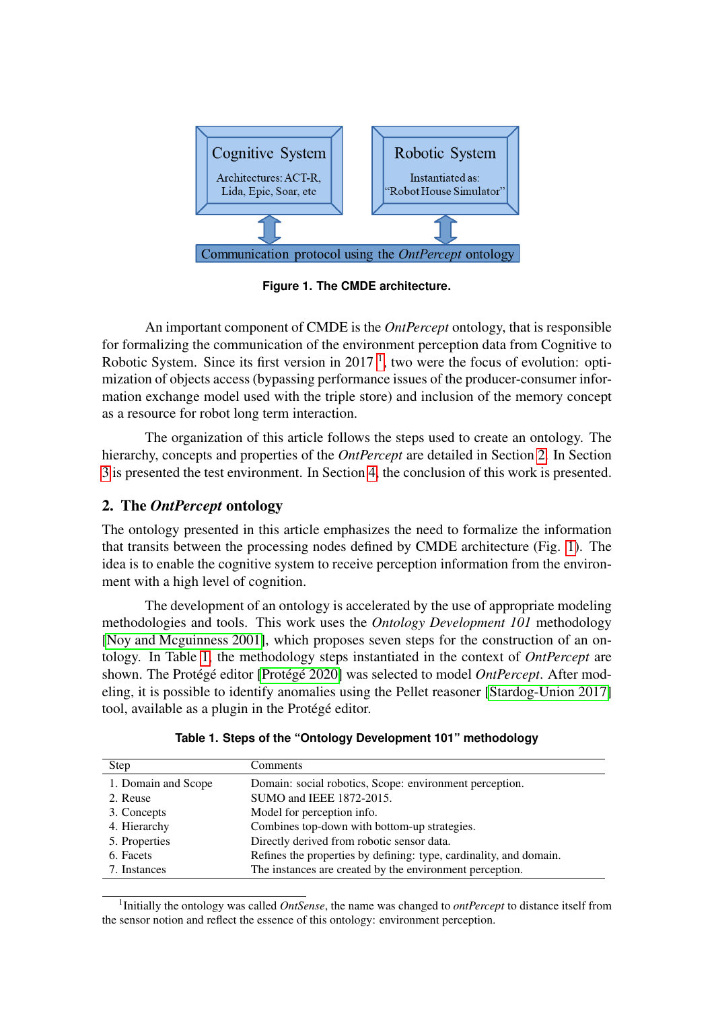<span id="page-1-2"></span>

**Figure 1. The CMDE architecture.**

An important component of CMDE is the *OntPercept* ontology, that is responsible for formalizing the communication of the environment perception data from Cognitive to Robotic System. Since its first version in  $2017<sup>-1</sup>$  $2017<sup>-1</sup>$  $2017<sup>-1</sup>$ , two were the focus of evolution: optimization of objects access (bypassing performance issues of the producer-consumer information exchange model used with the triple store) and inclusion of the memory concept as a resource for robot long term interaction.

The organization of this article follows the steps used to create an ontology. The hierarchy, concepts and properties of the *OntPercept* are detailed in Section [2.](#page-1-1) In Section [3](#page-5-0) is presented the test environment. In Section [4,](#page-5-1) the conclusion of this work is presented.

# <span id="page-1-1"></span>2. The *OntPercept* ontology

The ontology presented in this article emphasizes the need to formalize the information that transits between the processing nodes defined by CMDE architecture (Fig. [1\)](#page-1-2). The idea is to enable the cognitive system to receive perception information from the environment with a high level of cognition.

The development of an ontology is accelerated by the use of appropriate modeling methodologies and tools. This work uses the *Ontology Development 101* methodology [\[Noy and Mcguinness 2001\]](#page-7-0), which proposes seven steps for the construction of an ontology. In Table [1,](#page-1-3) the methodology steps instantiated in the context of *OntPercept* are shown. The Protégé editor [Protégé 2020] was selected to model *OntPercept*. After modeling, it is possible to identify anomalies using the Pellet reasoner [\[Stardog-Union 2017\]](#page-7-2) tool, available as a plugin in the Protégé editor.

<span id="page-1-3"></span>

| Step                | Comments                                                           |
|---------------------|--------------------------------------------------------------------|
| 1. Domain and Scope | Domain: social robotics, Scope: environment perception.            |
| 2. Reuse            | SUMO and IEEE 1872-2015.                                           |
| 3. Concepts         | Model for perception info.                                         |
| 4. Hierarchy        | Combines top-down with bottom-up strategies.                       |
| 5. Properties       | Directly derived from robotic sensor data.                         |
| 6. Facets           | Refines the properties by defining: type, cardinality, and domain. |
| 7. Instances        | The instances are created by the environment perception.           |

**Table 1. Steps of the "Ontology Development 101" methodology**

<span id="page-1-0"></span><sup>1</sup>Initially the ontology was called *OntSense*, the name was changed to *ontPercept* to distance itself from the sensor notion and reflect the essence of this ontology: environment perception.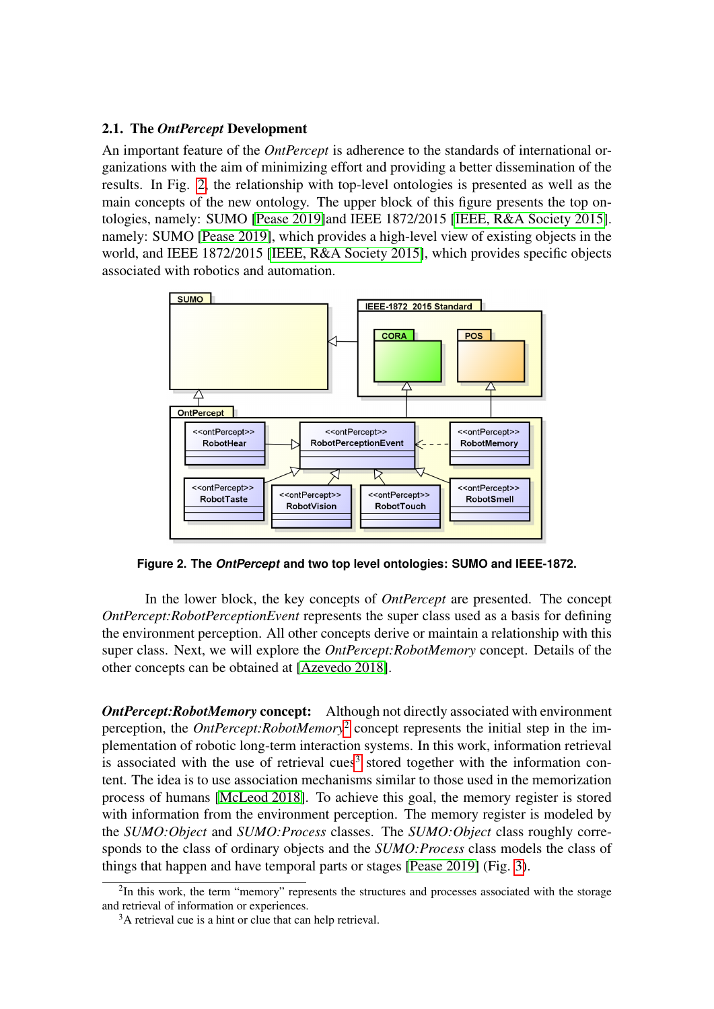#### 2.1. The *OntPercept* Development

An important feature of the *OntPercept* is adherence to the standards of international organizations with the aim of minimizing effort and providing a better dissemination of the results. In Fig. [2,](#page-2-0) the relationship with top-level ontologies is presented as well as the main concepts of the new ontology. The upper block of this figure presents the top ontologies, namely: SUMO [\[Pease 2019\]](#page-7-3)and IEEE 1872/2015 [\[IEEE, R&A Society 2015\]](#page-6-0). namely: SUMO [\[Pease 2019\]](#page-7-3), which provides a high-level view of existing objects in the world, and IEEE 1872/2015 [\[IEEE, R&A Society 2015\]](#page-6-0), which provides specific objects associated with robotics and automation.

<span id="page-2-0"></span>

**Figure 2. The** *OntPercept* **and two top level ontologies: SUMO and IEEE-1872.**

In the lower block, the key concepts of *OntPercept* are presented. The concept *OntPercept:RobotPerceptionEvent* represents the super class used as a basis for defining the environment perception. All other concepts derive or maintain a relationship with this super class. Next, we will explore the *OntPercept:RobotMemory* concept. Details of the other concepts can be obtained at [\[Azevedo 2018\]](#page-6-1).

**OntPercept:RobotMemory concept:** Although not directly associated with environment perception, the *OntPercept:RobotMemory*[2](#page-2-1) concept represents the initial step in the implementation of robotic long-term interaction systems. In this work, information retrieval is associated with the use of retrieval cues<sup>[3](#page-2-2)</sup> stored together with the information content. The idea is to use association mechanisms similar to those used in the memorization process of humans [\[McLeod 2018\]](#page-7-4). To achieve this goal, the memory register is stored with information from the environment perception. The memory register is modeled by the *SUMO:Object* and *SUMO:Process* classes. The *SUMO:Object* class roughly corresponds to the class of ordinary objects and the *SUMO:Process* class models the class of things that happen and have temporal parts or stages [\[Pease 2019\]](#page-7-3) (Fig. [3\)](#page-3-0).

<span id="page-2-1"></span><sup>&</sup>lt;sup>2</sup>In this work, the term "memory" represents the structures and processes associated with the storage and retrieval of information or experiences.

<span id="page-2-2"></span><sup>&</sup>lt;sup>3</sup>A retrieval cue is a hint or clue that can help retrieval.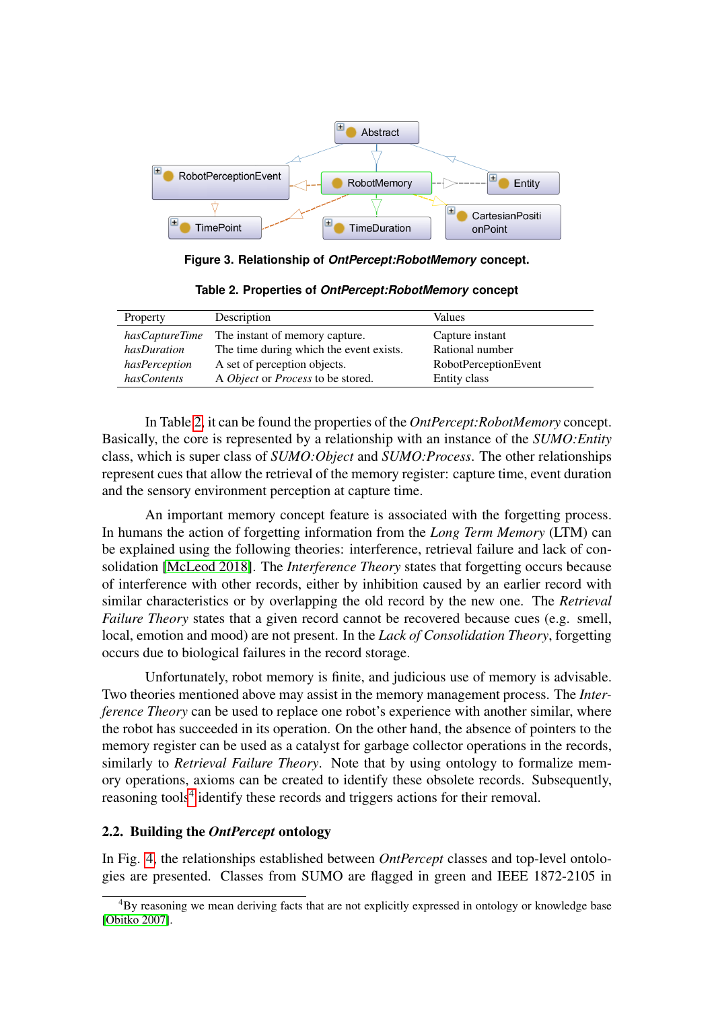<span id="page-3-0"></span>

**Figure 3. Relationship of** *OntPercept:RobotMemory* **concept.**

<span id="page-3-1"></span>

| Property       | Description                             | Values               |
|----------------|-----------------------------------------|----------------------|
| hasCaptureTime | The instant of memory capture.          | Capture instant      |
| hasDuration    | The time during which the event exists. | Rational number      |
| hasPerception  | A set of perception objects.            | RobotPerceptionEvent |
| hasContents    | A Object or Process to be stored.       | Entity class         |

**Table 2. Properties of** *OntPercept:RobotMemory* **concept**

In Table [2,](#page-3-1) it can be found the properties of the *OntPercept:RobotMemory* concept. Basically, the core is represented by a relationship with an instance of the *SUMO:Entity* class, which is super class of *SUMO:Object* and *SUMO:Process*. The other relationships represent cues that allow the retrieval of the memory register: capture time, event duration and the sensory environment perception at capture time.

An important memory concept feature is associated with the forgetting process. In humans the action of forgetting information from the *Long Term Memory* (LTM) can be explained using the following theories: interference, retrieval failure and lack of consolidation [\[McLeod 2018\]](#page-7-4). The *Interference Theory* states that forgetting occurs because of interference with other records, either by inhibition caused by an earlier record with similar characteristics or by overlapping the old record by the new one. The *Retrieval Failure Theory* states that a given record cannot be recovered because cues (e.g. smell, local, emotion and mood) are not present. In the *Lack of Consolidation Theory*, forgetting occurs due to biological failures in the record storage.

Unfortunately, robot memory is finite, and judicious use of memory is advisable. Two theories mentioned above may assist in the memory management process. The *Interference Theory* can be used to replace one robot's experience with another similar, where the robot has succeeded in its operation. On the other hand, the absence of pointers to the memory register can be used as a catalyst for garbage collector operations in the records, similarly to *Retrieval Failure Theory*. Note that by using ontology to formalize memory operations, axioms can be created to identify these obsolete records. Subsequently, reasoning tools<sup>[4](#page-3-2)</sup> identify these records and triggers actions for their removal.

### 2.2. Building the *OntPercept* ontology

In Fig. [4,](#page-4-0) the relationships established between *OntPercept* classes and top-level ontologies are presented. Classes from SUMO are flagged in green and IEEE 1872-2105 in

<span id="page-3-2"></span><sup>4</sup>By reasoning we mean deriving facts that are not explicitly expressed in ontology or knowledge base [\[Obitko 2007\]](#page-7-5).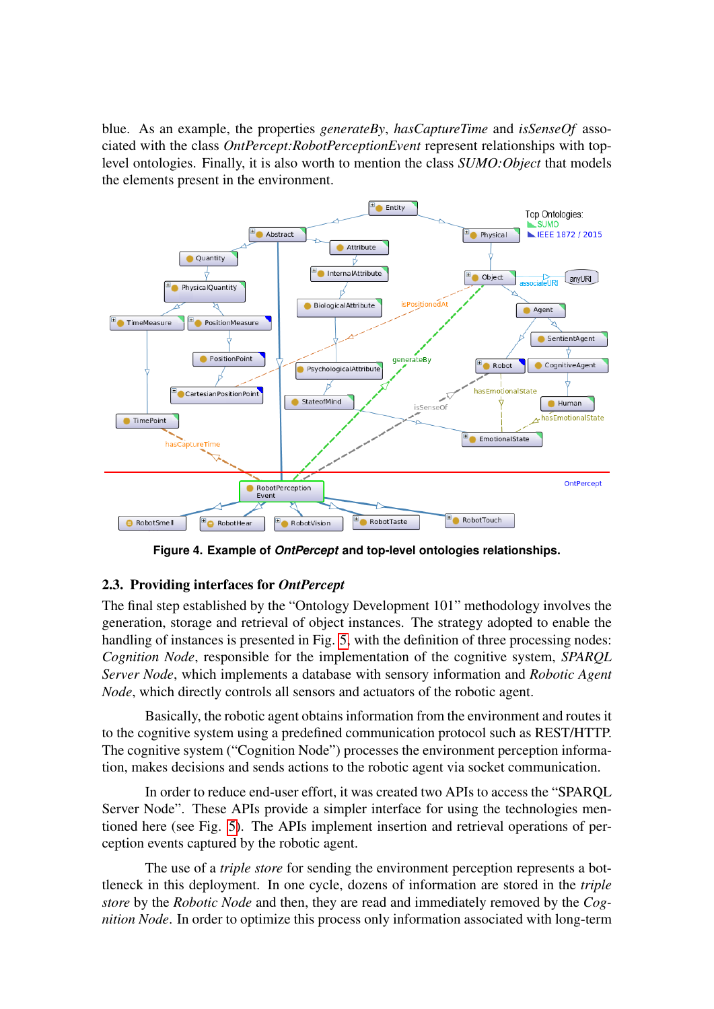blue. As an example, the properties *generateBy*, *hasCaptureTime* and *isSenseOf* associated with the class *OntPercept:RobotPerceptionEvent* represent relationships with toplevel ontologies. Finally, it is also worth to mention the class *SUMO:Object* that models the elements present in the environment.

<span id="page-4-0"></span>

**Figure 4. Example of** *OntPercept* **and top-level ontologies relationships.**

# 2.3. Providing interfaces for *OntPercept*

The final step established by the "Ontology Development 101" methodology involves the generation, storage and retrieval of object instances. The strategy adopted to enable the handling of instances is presented in Fig. [5,](#page-5-2) with the definition of three processing nodes: *Cognition Node*, responsible for the implementation of the cognitive system, *SPARQL Server Node*, which implements a database with sensory information and *Robotic Agent Node*, which directly controls all sensors and actuators of the robotic agent.

Basically, the robotic agent obtains information from the environment and routes it to the cognitive system using a predefined communication protocol such as REST/HTTP. The cognitive system ("Cognition Node") processes the environment perception information, makes decisions and sends actions to the robotic agent via socket communication.

In order to reduce end-user effort, it was created two APIs to access the "SPARQL Server Node". These APIs provide a simpler interface for using the technologies mentioned here (see Fig. [5\)](#page-5-2). The APIs implement insertion and retrieval operations of perception events captured by the robotic agent.

The use of a *triple store* for sending the environment perception represents a bottleneck in this deployment. In one cycle, dozens of information are stored in the *triple store* by the *Robotic Node* and then, they are read and immediately removed by the *Cognition Node*. In order to optimize this process only information associated with long-term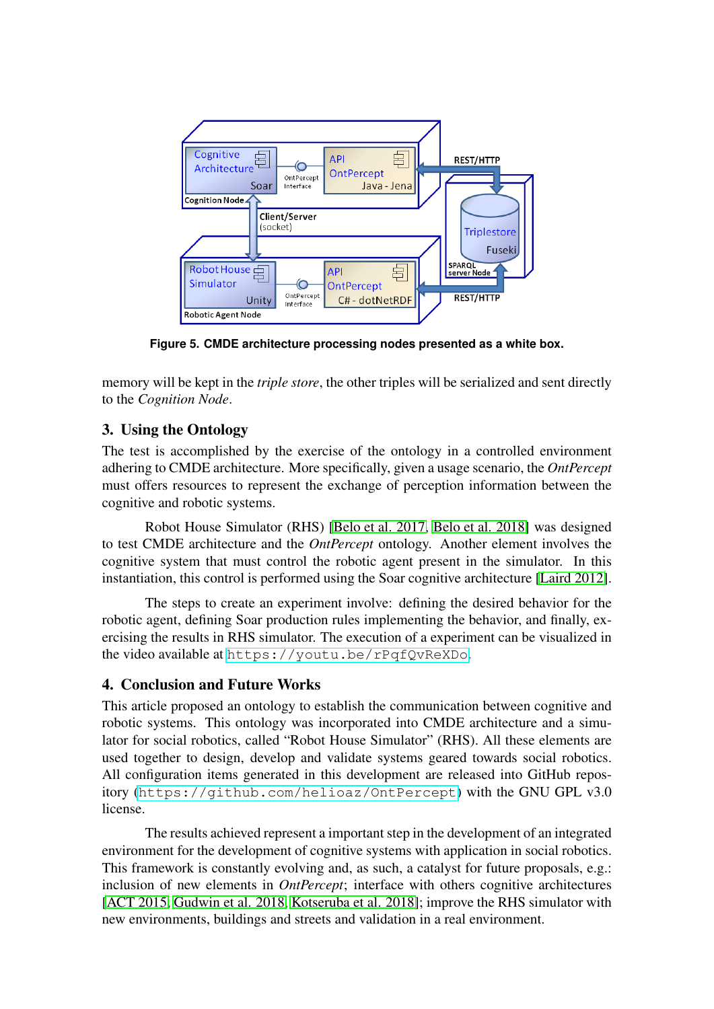<span id="page-5-2"></span>

**Figure 5. CMDE architecture processing nodes presented as a white box.**

memory will be kept in the *triple store*, the other triples will be serialized and sent directly to the *Cognition Node*.

#### <span id="page-5-0"></span>3. Using the Ontology

The test is accomplished by the exercise of the ontology in a controlled environment adhering to CMDE architecture. More specifically, given a usage scenario, the *OntPercept* must offers resources to represent the exchange of perception information between the cognitive and robotic systems.

Robot House Simulator (RHS) [\[Belo et al. 2017,](#page-6-2) [Belo et al. 2018\]](#page-6-3) was designed to test CMDE architecture and the *OntPercept* ontology. Another element involves the cognitive system that must control the robotic agent present in the simulator. In this instantiation, this control is performed using the Soar cognitive architecture [\[Laird 2012\]](#page-6-4).

The steps to create an experiment involve: defining the desired behavior for the robotic agent, defining Soar production rules implementing the behavior, and finally, exercising the results in RHS simulator. The execution of a experiment can be visualized in the video available at <https://youtu.be/rPqfQvReXDo>.

# <span id="page-5-1"></span>4. Conclusion and Future Works

This article proposed an ontology to establish the communication between cognitive and robotic systems. This ontology was incorporated into CMDE architecture and a simulator for social robotics, called "Robot House Simulator" (RHS). All these elements are used together to design, develop and validate systems geared towards social robotics. All configuration items generated in this development are released into GitHub repository (<https://github.com/helioaz/OntPercept>) with the GNU GPL v3.0 license.

The results achieved represent a important step in the development of an integrated environment for the development of cognitive systems with application in social robotics. This framework is constantly evolving and, as such, a catalyst for future proposals, e.g.: inclusion of new elements in *OntPercept*; interface with others cognitive architectures [\[ACT 2015,](#page-6-5) [Gudwin et al. 2018,](#page-6-6) [Kotseruba et al. 2018\]](#page-6-7); improve the RHS simulator with new environments, buildings and streets and validation in a real environment.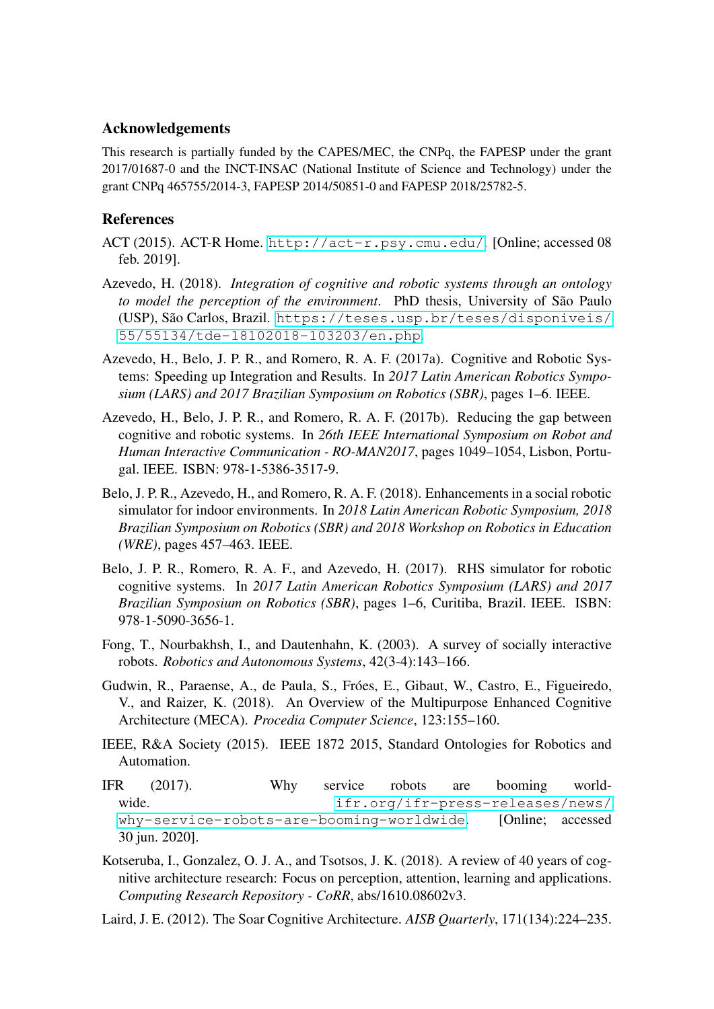#### Acknowledgements

This research is partially funded by the CAPES/MEC, the CNPq, the FAPESP under the grant 2017/01687-0 and the INCT-INSAC (National Institute of Science and Technology) under the grant CNPq 465755/2014-3, FAPESP 2014/50851-0 and FAPESP 2018/25782-5.

#### **References**

- <span id="page-6-5"></span>ACT (2015). ACT-R Home. <http://act-r.psy.cmu.edu/>. [Online; accessed 08 feb. 2019].
- <span id="page-6-1"></span>Azevedo, H. (2018). *Integration of cognitive and robotic systems through an ontology to model the perception of the environment*. PhD thesis, University of São Paulo (USP), São Carlos, Brazil. [https://teses.usp.br/teses/disponiveis/](https://teses.usp.br/teses/disponiveis/55/55134/tde-18102018-103203/en.php) [55/55134/tde-18102018-103203/en.php](https://teses.usp.br/teses/disponiveis/55/55134/tde-18102018-103203/en.php).
- Azevedo, H., Belo, J. P. R., and Romero, R. A. F. (2017a). Cognitive and Robotic Systems: Speeding up Integration and Results. In *2017 Latin American Robotics Symposium (LARS) and 2017 Brazilian Symposium on Robotics (SBR)*, pages 1–6. IEEE.
- Azevedo, H., Belo, J. P. R., and Romero, R. A. F. (2017b). Reducing the gap between cognitive and robotic systems. In *26th IEEE International Symposium on Robot and Human Interactive Communication - RO-MAN2017*, pages 1049–1054, Lisbon, Portugal. IEEE. ISBN: 978-1-5386-3517-9.
- <span id="page-6-3"></span>Belo, J. P. R., Azevedo, H., and Romero, R. A. F. (2018). Enhancements in a social robotic simulator for indoor environments. In *2018 Latin American Robotic Symposium, 2018 Brazilian Symposium on Robotics (SBR) and 2018 Workshop on Robotics in Education (WRE)*, pages 457–463. IEEE.
- <span id="page-6-2"></span>Belo, J. P. R., Romero, R. A. F., and Azevedo, H. (2017). RHS simulator for robotic cognitive systems. In *2017 Latin American Robotics Symposium (LARS) and 2017 Brazilian Symposium on Robotics (SBR)*, pages 1–6, Curitiba, Brazil. IEEE. ISBN: 978-1-5090-3656-1.
- Fong, T., Nourbakhsh, I., and Dautenhahn, K. (2003). A survey of socially interactive robots. *Robotics and Autonomous Systems*, 42(3-4):143–166.
- <span id="page-6-6"></span>Gudwin, R., Paraense, A., de Paula, S., Fróes, E., Gibaut, W., Castro, E., Figueiredo, V., and Raizer, K. (2018). An Overview of the Multipurpose Enhanced Cognitive Architecture (MECA). *Procedia Computer Science*, 123:155–160.
- <span id="page-6-0"></span>IEEE, R&A Society (2015). IEEE 1872 2015, Standard Ontologies for Robotics and Automation.
- IFR (2017). Why service robots are booming worldwide.  $if r.org/if r-press-releases/news/$ [why-service-robots-are-booming-worldwide](ifr.org/ifr-press-releases/news/why-service-robots-are-booming-worldwide). [Online; accessed 30 jun. 2020].
- <span id="page-6-7"></span>Kotseruba, I., Gonzalez, O. J. A., and Tsotsos, J. K. (2018). A review of 40 years of cognitive architecture research: Focus on perception, attention, learning and applications. *Computing Research Repository - CoRR*, abs/1610.08602v3.
- <span id="page-6-4"></span>Laird, J. E. (2012). The Soar Cognitive Architecture. *AISB Quarterly*, 171(134):224–235.